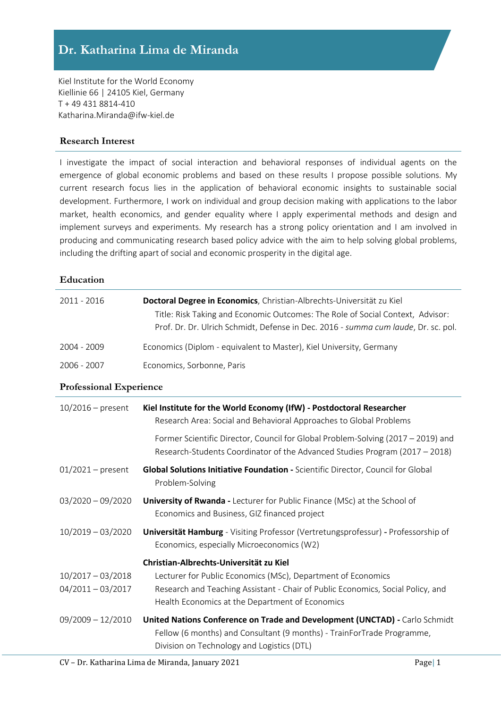Kiel Institute for the World Economy Kiellinie 66 | 24105 Kiel, Germany T + 49 431 8814-410 Katharina.Miranda@ifw-kiel.de

## **Research Interest**

I investigate the impact of social interaction and behavioral responses of individual agents on the emergence of global economic problems and based on these results I propose possible solutions. My current research focus lies in the application of behavioral economic insights to sustainable social development. Furthermore, I work on individual and group decision making with applications to the labor market, health economics, and gender equality where I apply experimental methods and design and implement surveys and experiments. My research has a strong policy orientation and I am involved in producing and communicating research based policy advice with the aim to help solving global problems, including the drifting apart of social and economic prosperity in the digital age.

#### **Education**

| 2011 - 2016                                | Doctoral Degree in Economics, Christian-Albrechts-Universität zu Kiel<br>Title: Risk Taking and Economic Outcomes: The Role of Social Context, Advisor:<br>Prof. Dr. Dr. Ulrich Schmidt, Defense in Dec. 2016 - summa cum laude, Dr. sc. pol. |
|--------------------------------------------|-----------------------------------------------------------------------------------------------------------------------------------------------------------------------------------------------------------------------------------------------|
| 2004 - 2009                                | Economics (Diplom - equivalent to Master), Kiel University, Germany                                                                                                                                                                           |
| 2006 - 2007                                | Economics, Sorbonne, Paris                                                                                                                                                                                                                    |
| <b>Professional Experience</b>             |                                                                                                                                                                                                                                               |
| $10/2016$ – present                        | Kiel Institute for the World Economy (IfW) - Postdoctoral Researcher<br>Research Area: Social and Behavioral Approaches to Global Problems                                                                                                    |
|                                            | Former Scientific Director, Council for Global Problem-Solving (2017 - 2019) and<br>Research-Students Coordinator of the Advanced Studies Program (2017 - 2018)                                                                               |
| $01/2021 - present$                        | Global Solutions Initiative Foundation - Scientific Director, Council for Global<br>Problem-Solving                                                                                                                                           |
| $03/2020 - 09/2020$                        | <b>University of Rwanda - Lecturer for Public Finance (MSc) at the School of</b><br>Economics and Business, GIZ financed project                                                                                                              |
| $10/2019 - 03/2020$                        | <b>Universität Hamburg</b> - Visiting Professor (Vertretungsprofessur) - Professorship of<br>Economics, especially Microeconomics (W2)                                                                                                        |
|                                            | Christian-Albrechts-Universität zu Kiel                                                                                                                                                                                                       |
| $10/2017 - 03/2018$<br>$04/2011 - 03/2017$ | Lecturer for Public Economics (MSc), Department of Economics<br>Research and Teaching Assistant - Chair of Public Economics, Social Policy, and<br>Health Economics at the Department of Economics                                            |
| $09/2009 - 12/2010$                        | United Nations Conference on Trade and Development (UNCTAD) - Carlo Schmidt<br>Fellow (6 months) and Consultant (9 months) - TrainForTrade Programme,<br>Division on Technology and Logistics (DTL)                                           |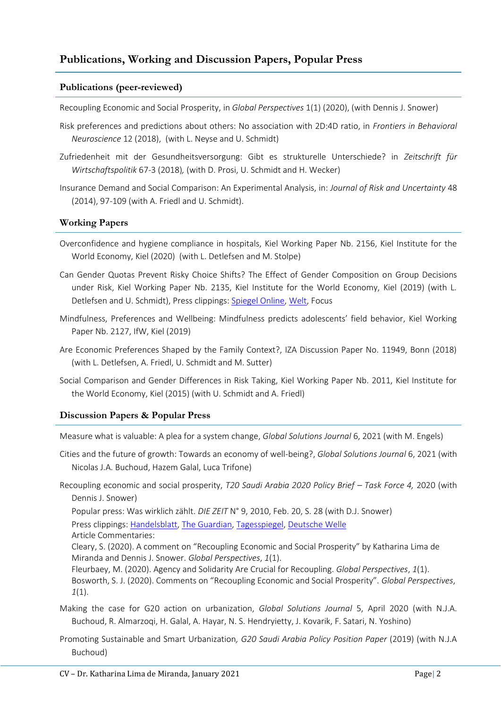# **Publications, Working and Discussion Papers, Popular Press**

#### **Publications (peer-reviewed)**

Recoupling Economic and Social Prosperity, in *Global Perspectives* 1(1) (2020), (with Dennis J. Snower)

- Risk preferences and predictions about others: No association with 2D:4D ratio, in *Frontiers in Behavioral Neuroscience* 12 (2018), (with L. Neyse and U. Schmidt)
- Zufriedenheit mit der Gesundheitsversorgung: Gibt es strukturelle Unterschiede? in *Zeitschrift für Wirtschaftspolitik* 67-3 (2018)*,* (with D. Prosi, U. Schmidt and H. Wecker)
- Insurance Demand and Social Comparison: An Experimental Analysis, in: *Journal of Risk and Uncertainty* 48 (2014), 97-109 (with A. Friedl and U. Schmidt).

## **Working Papers**

- Overconfidence and hygiene compliance in hospitals, Kiel Working Paper Nb. 2156, Kiel Institute for the World Economy, Kiel (2020) (with L. Detlefsen and M. Stolpe)
- Can Gender Quotas Prevent Risky Choice Shifts? The Effect of Gender Composition on Group Decisions under Risk, Kiel Working Paper Nb. 2135, Kiel Institute for the World Economy, Kiel (2019) (with L. Detlefsen and U. Schmidt), Press clippings: [Spiegel Online,](https://www.spiegel.de/karriere/frauen-und-maenner-gemischte-teams-faellen-bessere-entscheidungen-a-1137656.html) [Welt,](https://www.welt.de/wirtschaft/article162782167/Maenner-sind-im-Job-zu-forsch-Frauen-zu-aengstlich.html) Focus
- Mindfulness, Preferences and Wellbeing: Mindfulness predicts adolescents' field behavior, Kiel Working Paper Nb. 2127, IfW, Kiel (2019)
- Are Economic Preferences Shaped by the Family Context?, IZA Discussion Paper No. 11949, Bonn (2018) (with L. Detlefsen, A. Friedl, U. Schmidt and M. Sutter)
- Social Comparison and Gender Differences in Risk Taking, Kiel Working Paper Nb. 2011, Kiel Institute for the World Economy, Kiel (2015) (with U. Schmidt and A. Friedl)

## **Discussion Papers & Popular Press**

Measure what is valuable: A plea for a system change, *Global Solutions Journal* 6, 2021 (with M. Engels)

- Cities and the future of growth: Towards an economy of well-being?, *Global Solutions Journal* 6, 2021 (with Nicolas J.A. Buchoud, Hazem Galal, Luca Trifone)
- Recoupling economic and social prosperity, *T20 Saudi Arabia 2020 Policy Brief – Task Force 4,* 2020 (with Dennis J. Snower)

Popular press: Was wirklich zählt. *DIE ZEIT* N° 9, 2010, Feb. 20, S. 28 (with D.J. Snower) Press clippings: [Handelsblatt,](https://app.handelsblatt.com/politik/international/soziale-faktoren-als-bip-ergaenzung-mehr-als-nur-geldverdienen-wie-oekonomen-den-wohlstand-neu-berechnen-wollen/25560792.html?ticket=ST-5258871-dH4bppFqhE0qVlhhfZfb-ap3) [The Guardian,](https://www.theguardian.com/business/2020/feb/20/citizens-wellbeing-should-be-part-of-g20s-priorities-says-report) [Tagesspiegel,](https://interaktiv.tagesspiegel.de/lab/was-ist-eigentlich-wohlstand/) [Deutsche Welle](https://www.dw.com/en/economic-prosperity-and-well-being-often-out-of-sync/a-52417204)

Article Commentaries:

Cleary, S. (2020). A comment on "Recoupling Economic and Social Prosperity" by Katharina Lima de Miranda and Dennis J. Snower. *Global Perspectives*, *1*(1).

Fleurbaey, M. (2020). Agency and Solidarity Are Crucial for Recoupling. *Global Perspectives*, *1*(1). Bosworth, S. J. (2020). Comments on "Recoupling Economic and Social Prosperity". *Global Perspectives*, *1*(1).

- Making the case for G20 action on urbanization, *Global Solutions Journal* 5, April 2020 (with N.J.A. Buchoud, R. Almarzoqi, H. Galal, A. Hayar, N. S. Hendryietty, J. Kovarik, F. Satari, N. Yoshino)
- Promoting Sustainable and Smart Urbanization*, G20 Saudi Arabia Policy Position Paper* (2019) (with N.J.A Buchoud)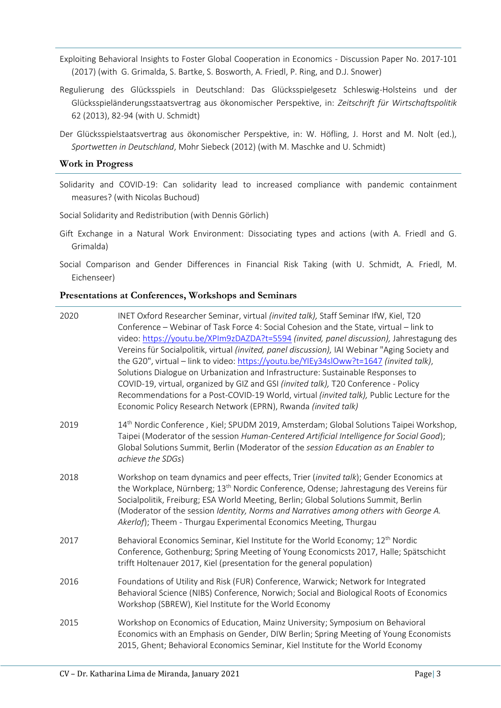- Exploiting Behavioral Insights to Foster Global Cooperation in Economics Discussion Paper No. 2017-101 (2017) (with G. Grimalda, S. Bartke, S. Bosworth, A. Friedl, P. Ring, and D.J. Snower)
- Regulierung des Glücksspiels in Deutschland: Das Glücksspielgesetz Schleswig-Holsteins und der Glücksspieländerungsstaatsvertrag aus ökonomischer Perspektive, in: *Zeitschrift für Wirtschaftspolitik* 62 (2013), 82-94 (with U. Schmidt)
- Der Glücksspielstaatsvertrag aus ökonomischer Perspektive, in: W. Höfling, J. Horst and M. Nolt (ed.), *Sportwetten in Deutschland*, Mohr Siebeck (2012) (with M. Maschke and U. Schmidt)

#### **Work in Progress**

Solidarity and COVID-19: Can solidarity lead to increased compliance with pandemic containment measures? (with Nicolas Buchoud)

Social Solidarity and Redistribution (with Dennis Görlich)

- Gift Exchange in a Natural Work Environment: Dissociating types and actions (with A. Friedl and G. Grimalda)
- Social Comparison and Gender Differences in Financial Risk Taking (with U. Schmidt, A. Friedl, M. Eichenseer)

#### **Presentations at Conferences, Workshops and Seminars**

| 2020 | INET Oxford Researcher Seminar, virtual (invited talk), Staff Seminar IfW, Kiel, T20<br>Conference - Webinar of Task Force 4: Social Cohesion and the State, virtual - link to<br>video: https://youtu.be/XPIm9zDAZDA?t=5594 (invited, panel discussion), Jahrestagung des<br>Vereins für Socialpolitik, virtual (invited, panel discussion), IAI Webinar "Aging Society and<br>the G20", virtual - link to video: https://youtu.be/YIEy34slOww?t=1647 (invited talk),<br>Solutions Dialogue on Urbanization and Infrastructure: Sustainable Responses to<br>COVID-19, virtual, organized by GIZ and GSI (invited talk), T20 Conference - Policy<br>Recommendations for a Post-COVID-19 World, virtual (invited talk), Public Lecture for the<br>Economic Policy Research Network (EPRN), Rwanda (invited talk) |
|------|-----------------------------------------------------------------------------------------------------------------------------------------------------------------------------------------------------------------------------------------------------------------------------------------------------------------------------------------------------------------------------------------------------------------------------------------------------------------------------------------------------------------------------------------------------------------------------------------------------------------------------------------------------------------------------------------------------------------------------------------------------------------------------------------------------------------|
| 2019 | 14 <sup>th</sup> Nordic Conference, Kiel; SPUDM 2019, Amsterdam; Global Solutions Taipei Workshop,<br>Taipei (Moderator of the session Human-Centered Artificial Intelligence for Social Good);<br>Global Solutions Summit, Berlin (Moderator of the session Education as an Enabler to<br>achieve the SDGs)                                                                                                                                                                                                                                                                                                                                                                                                                                                                                                    |
| 2018 | Workshop on team dynamics and peer effects, Trier (invited talk); Gender Economics at<br>the Workplace, Nürnberg; 13 <sup>th</sup> Nordic Conference, Odense; Jahrestagung des Vereins für<br>Socialpolitik, Freiburg; ESA World Meeting, Berlin; Global Solutions Summit, Berlin<br>(Moderator of the session Identity, Norms and Narratives among others with George A.<br>Akerlof); Theem - Thurgau Experimental Economics Meeting, Thurgau                                                                                                                                                                                                                                                                                                                                                                  |
| 2017 | Behavioral Economics Seminar, Kiel Institute for the World Economy; 12 <sup>th</sup> Nordic<br>Conference, Gothenburg; Spring Meeting of Young Economicsts 2017, Halle; Spätschicht<br>trifft Holtenauer 2017, Kiel (presentation for the general population)                                                                                                                                                                                                                                                                                                                                                                                                                                                                                                                                                   |
| 2016 | Foundations of Utility and Risk (FUR) Conference, Warwick; Network for Integrated<br>Behavioral Science (NIBS) Conference, Norwich; Social and Biological Roots of Economics<br>Workshop (SBREW), Kiel Institute for the World Economy                                                                                                                                                                                                                                                                                                                                                                                                                                                                                                                                                                          |
| 2015 | Workshop on Economics of Education, Mainz University; Symposium on Behavioral<br>Economics with an Emphasis on Gender, DIW Berlin; Spring Meeting of Young Economists<br>2015, Ghent; Behavioral Economics Seminar, Kiel Institute for the World Economy                                                                                                                                                                                                                                                                                                                                                                                                                                                                                                                                                        |